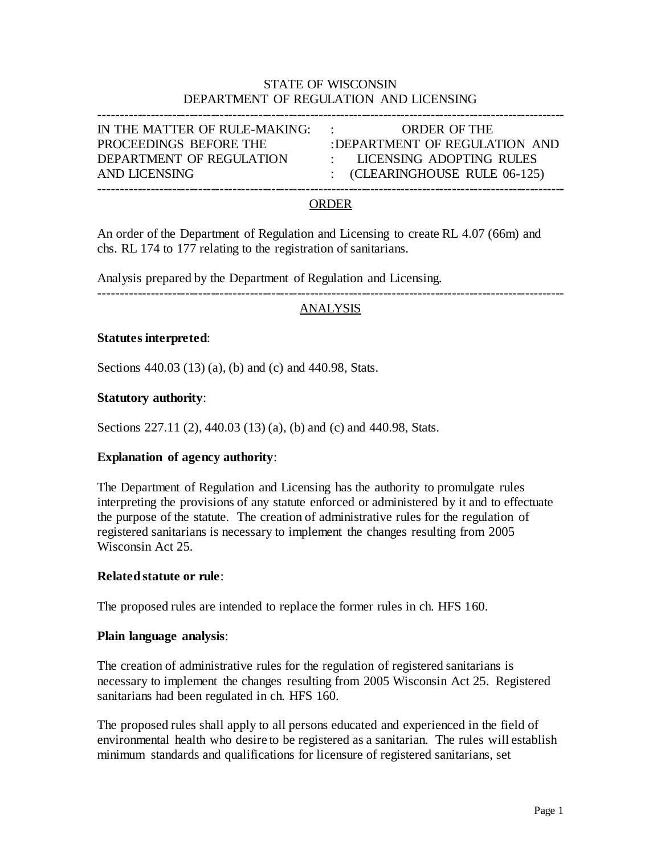# STATE OF WISCONSIN DEPARTMENT OF REGULATION AND LICENSING

------------------------------------------------------------------------------------------------------------

IN THE MATTER OF RULE-MAKING: : ORDER OF THE AND LICENSING : (CLEARINGHOUSE RULE 06-125)

PROCEEDINGS BEFORE THE :DEPARTMENT OF REGULATION AND DEPARTMENT OF REGULATION : LICENSING ADOPTING RULES

#### ORDER

An order of the Department of Regulation and Licensing to create RL 4.07 (66m) and chs. RL 174 to 177 relating to the registration of sanitarians.

Analysis prepared by the Department of Regulation and Licensing.

------------------------------------------------------------------------------------------------------------

#### ANALYSIS

#### **Statutes interpreted**:

Sections 440.03 (13) (a), (b) and (c) and 440.98, Stats.

#### **Statutory authority**:

Sections 227.11 (2), 440.03 (13) (a), (b) and (c) and 440.98, Stats.

#### **Explanation of agency authority**:

The Department of Regulation and Licensing has the authority to promulgate rules interpreting the provisions of any statute enforced or administered by it and to effectuate the purpose of the statute. The creation of administrative rules for the regulation of registered sanitarians is necessary to implement the changes resulting from 2005 Wisconsin Act 25.

#### **Related statute or rule**:

The proposed rules are intended to replace the former rules in ch. HFS 160.

#### **Plain language analysis**:

The creation of administrative rules for the regulation of registered sanitarians is necessary to implement the changes resulting from 2005 Wisconsin Act 25. Registered sanitarians had been regulated in ch. HFS 160.

The proposed rules shall apply to all persons educated and experienced in the field of environmental health who desire to be registered as a sanitarian. The rules will establish minimum standards and qualifications for licensure of registered sanitarians, set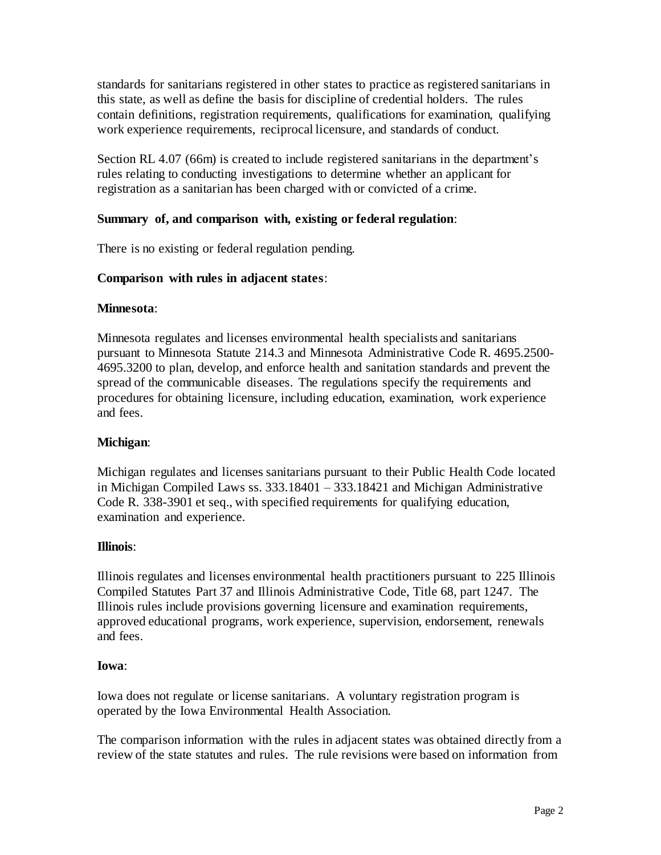standards for sanitarians registered in other states to practice as registered sanitarians in this state, as well as define the basis for discipline of credential holders. The rules contain definitions, registration requirements, qualifications for examination, qualifying work experience requirements, reciprocal licensure, and standards of conduct.

Section RL 4.07 (66m) is created to include registered sanitarians in the department's rules relating to conducting investigations to determine whether an applicant for registration as a sanitarian has been charged with or convicted of a crime.

# **Summary of, and comparison with, existing or federal regulation**:

There is no existing or federal regulation pending.

# **Comparison with rules in adjacent states**:

### **Minnesota**:

Minnesota regulates and licenses environmental health specialists and sanitarians pursuant to Minnesota Statute 214.3 and Minnesota Administrative Code R. 4695.2500- 4695.3200 to plan, develop, and enforce health and sanitation standards and prevent the spread of the communicable diseases. The regulations specify the requirements and procedures for obtaining licensure, including education, examination, work experience and fees.

## **Michigan**:

Michigan regulates and licenses sanitarians pursuant to their Public Health Code located in Michigan Compiled Laws ss. 333.18401 – 333.18421 and Michigan Administrative Code R. 338-3901 et seq., with specified requirements for qualifying education, examination and experience.

## **Illinois**:

Illinois regulates and licenses environmental health practitioners pursuant to 225 Illinois Compiled Statutes Part 37 and Illinois Administrative Code, Title 68, part 1247. The Illinois rules include provisions governing licensure and examination requirements, approved educational programs, work experience, supervision, endorsement, renewals and fees.

## **Iowa**:

Iowa does not regulate or license sanitarians. A voluntary registration program is operated by the Iowa Environmental Health Association.

The comparison information with the rules in adjacent states was obtained directly from a review of the state statutes and rules. The rule revisions were based on information from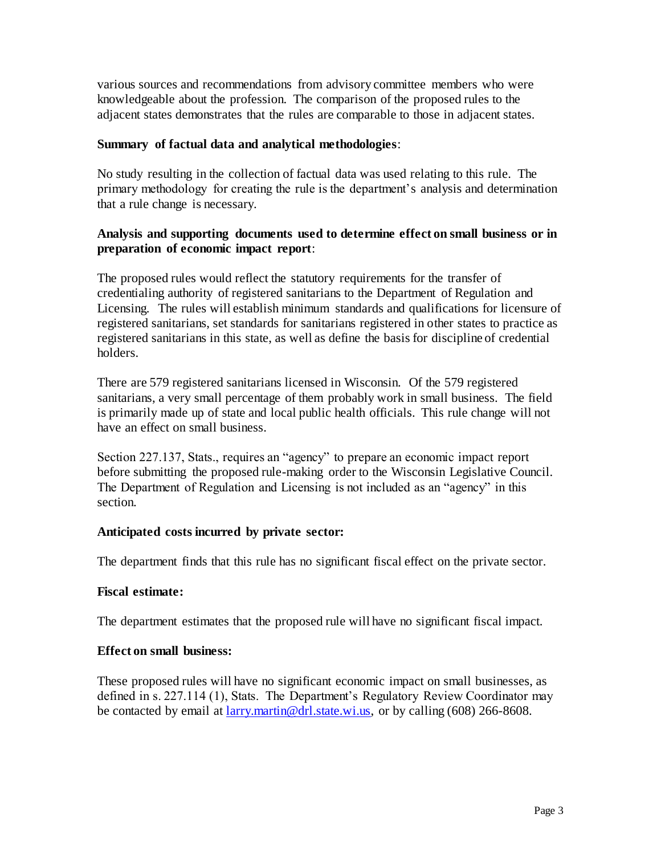various sources and recommendations from advisory committee members who were knowledgeable about the profession. The comparison of the proposed rules to the adjacent states demonstrates that the rules are comparable to those in adjacent states.

## **Summary of factual data and analytical methodologies**:

No study resulting in the collection of factual data was used relating to this rule. The primary methodology for creating the rule is the department's analysis and determination that a rule change is necessary.

## **Analysis and supporting documents used to determine effect on small business or in preparation of economic impact report**:

The proposed rules would reflect the statutory requirements for the transfer of credentialing authority of registered sanitarians to the Department of Regulation and Licensing. The rules will establish minimum standards and qualifications for licensure of registered sanitarians, set standards for sanitarians registered in other states to practice as registered sanitarians in this state, as well as define the basis for discipline of credential holders.

There are 579 registered sanitarians licensed in Wisconsin. Of the 579 registered sanitarians, a very small percentage of them probably work in small business. The field is primarily made up of state and local public health officials. This rule change will not have an effect on small business.

Section 227.137, Stats., requires an "agency" to prepare an economic impact report before submitting the proposed rule-making order to the Wisconsin Legislative Council. The Department of Regulation and Licensing is not included as an "agency" in this section.

## **Anticipated costs incurred by private sector:**

The department finds that this rule has no significant fiscal effect on the private sector.

## **Fiscal estimate:**

The department estimates that the proposed rule will have no significant fiscal impact.

## **Effect on small business:**

These proposed rules will have no significant economic impact on small businesses, as defined in s. 227.114 (1), Stats. The Department's Regulatory Review Coordinator may be contacted by email at  $\frac{\arcsin(\omega)}{\arcsin(\omega)}$ . state.wi.us, or by calling (608) 266-8608.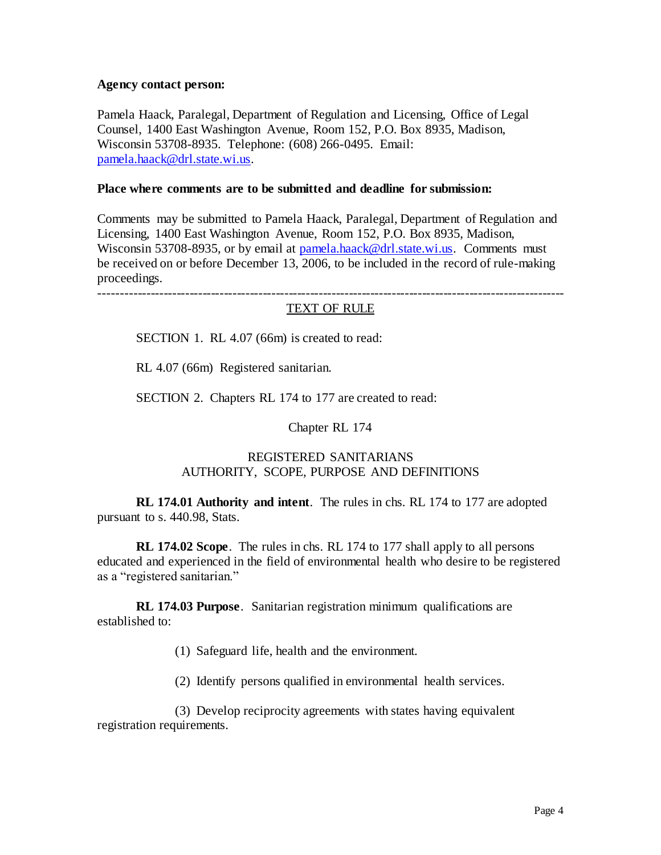### **Agency contact person:**

Pamela Haack, Paralegal, Department of Regulation and Licensing, Office of Legal Counsel, 1400 East Washington Avenue, Room 152, P.O. Box 8935, Madison, Wisconsin 53708-8935. Telephone: (608) 266-0495. Email: [pamela.haack@drl.state.wi.us.](mailto:pamela.haack@drl.state.wi.us)

## **Place where comments are to be submitted and deadline for submission:**

Comments may be submitted to Pamela Haack, Paralegal, Department of Regulation and Licensing, 1400 East Washington Avenue, Room 152, P.O. Box 8935, Madison, Wisconsin 53708-8935, or by email at [pamela.haack@drl.state.wi.us.](mailto:pamela.haack@drl.state.wi.us) Comments must be received on or before December 13, 2006, to be included in the record of rule-making proceedings.

------------------------------------------------------------------------------------------------------------

### TEXT OF RULE

SECTION 1. RL 4.07 (66m) is created to read:

RL 4.07 (66m) Registered sanitarian.

SECTION 2. Chapters RL 174 to 177 are created to read:

Chapter RL 174

## REGISTERED SANITARIANS AUTHORITY, SCOPE, PURPOSE AND DEFINITIONS

**RL 174.01 Authority and intent**. The rules in chs. RL 174 to 177 are adopted pursuant to s. 440.98, Stats.

**RL 174.02 Scope**. The rules in chs. RL 174 to 177 shall apply to all persons educated and experienced in the field of environmental health who desire to be registered as a "registered sanitarian."

**RL 174.03 Purpose**. Sanitarian registration minimum qualifications are established to:

(1) Safeguard life, health and the environment.

(2) Identify persons qualified in environmental health services.

(3) Develop reciprocity agreements with states having equivalent registration requirements.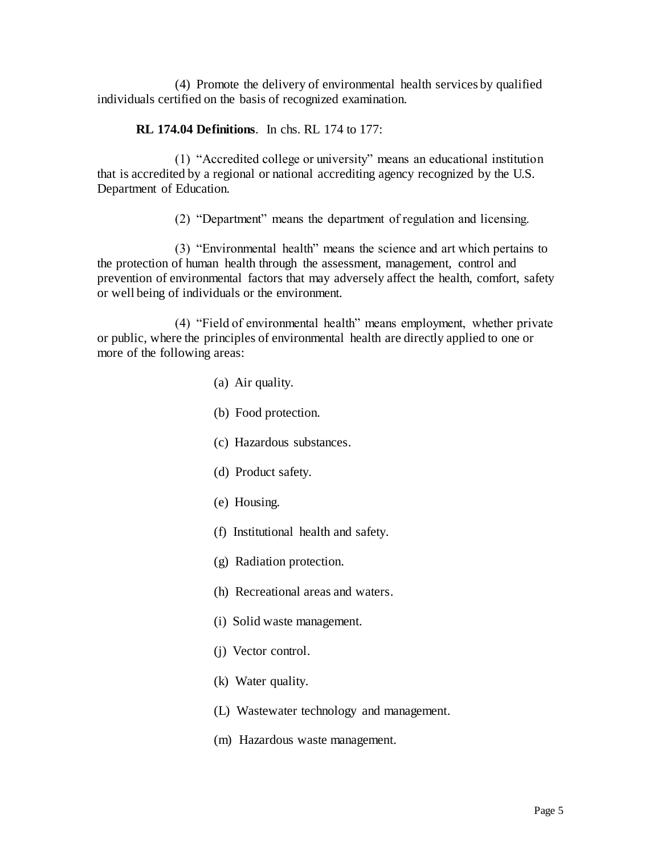(4) Promote the delivery of environmental health services by qualified individuals certified on the basis of recognized examination.

## **RL 174.04 Definitions**. In chs. RL 174 to 177:

(1) "Accredited college or university" means an educational institution that is accredited by a regional or national accrediting agency recognized by the U.S. Department of Education.

(2) "Department" means the department of regulation and licensing.

(3) "Environmental health" means the science and art which pertains to the protection of human health through the assessment, management, control and prevention of environmental factors that may adversely affect the health, comfort, safety or well being of individuals or the environment.

(4) "Field of environmental health" means employment, whether private or public, where the principles of environmental health are directly applied to one or more of the following areas:

- (a) Air quality.
- (b) Food protection.
- (c) Hazardous substances.
- (d) Product safety.
- (e) Housing.
- (f) Institutional health and safety.
- (g) Radiation protection.
- (h) Recreational areas and waters.
- (i) Solid waste management.
- (j) Vector control.
- (k) Water quality.
- (L) Wastewater technology and management.
- (m) Hazardous waste management.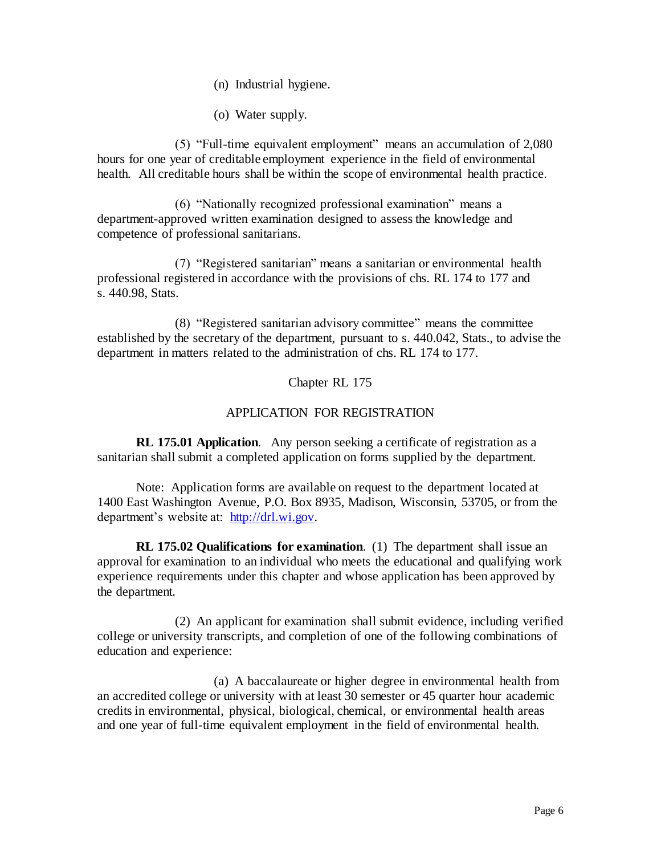- (n) Industrial hygiene.
- (o) Water supply.

(5) "Full-time equivalent employment" means an accumulation of 2,080 hours for one year of creditable employment experience in the field of environmental health. All creditable hours shall be within the scope of environmental health practice.

(6) "Nationally recognized professional examination" means a department-approved written examination designed to assess the knowledge and competence of professional sanitarians.

(7) "Registered sanitarian" means a sanitarian or environmental health professional registered in accordance with the provisions of chs. RL 174 to 177 and s. 440.98, Stats.

(8) "Registered sanitarian advisory committee" means the committee established by the secretary of the department, pursuant to s. 440.042, Stats., to advise the department in matters related to the administration of chs. RL 174 to 177.

Chapter RL 175

## APPLICATION FOR REGISTRATION

**RL 175.01 Application**. Any person seeking a certificate of registration as a sanitarian shall submit a completed application on forms supplied by the department.

Note: Application forms are available on request to the department located at 1400 East Washington Avenue, P.O. Box 8935, Madison, Wisconsin, 53705, or from the department's website at: [http://drl.wi.gov.](http://drl.wi.gov/)

**RL 175.02 Qualifications for examination**. (1) The department shall issue an approval for examination to an individual who meets the educational and qualifying work experience requirements under this chapter and whose application has been approved by the department.

(2) An applicant for examination shall submit evidence, including verified college or university transcripts, and completion of one of the following combinations of education and experience:

(a) A baccalaureate or higher degree in environmental health from an accredited college or university with at least 30 semester or 45 quarter hour academic credits in environmental, physical, biological, chemical, or environmental health areas and one year of full-time equivalent employment in the field of environmental health.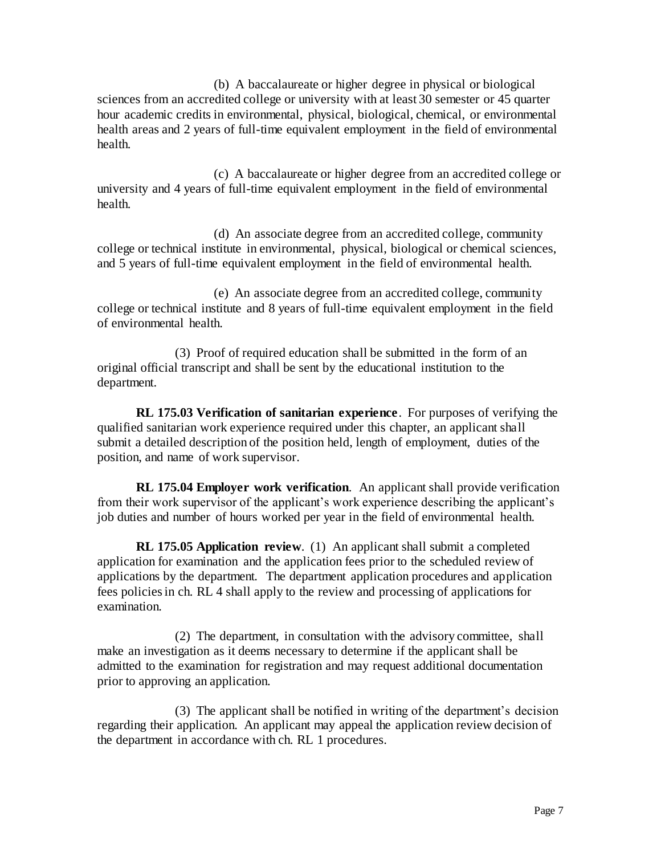(b) A baccalaureate or higher degree in physical or biological sciences from an accredited college or university with at least 30 semester or 45 quarter hour academic credits in environmental, physical, biological, chemical, or environmental health areas and 2 years of full-time equivalent employment in the field of environmental health.

(c) A baccalaureate or higher degree from an accredited college or university and 4 years of full-time equivalent employment in the field of environmental health.

(d) An associate degree from an accredited college, community college or technical institute in environmental, physical, biological or chemical sciences, and 5 years of full-time equivalent employment in the field of environmental health.

(e) An associate degree from an accredited college, community college or technical institute and 8 years of full-time equivalent employment in the field of environmental health.

(3) Proof of required education shall be submitted in the form of an original official transcript and shall be sent by the educational institution to the department.

**RL 175.03 Verification of sanitarian experience**. For purposes of verifying the qualified sanitarian work experience required under this chapter, an applicant shall submit a detailed description of the position held, length of employment, duties of the position, and name of work supervisor.

**RL 175.04 Employer work verification**. An applicant shall provide verification from their work supervisor of the applicant's work experience describing the applicant's job duties and number of hours worked per year in the field of environmental health.

**RL 175.05 Application review**. (1) An applicant shall submit a completed application for examination and the application fees prior to the scheduled review of applications by the department. The department application procedures and application fees policies in ch. RL 4 shall apply to the review and processing of applications for examination.

(2) The department, in consultation with the advisory committee, shall make an investigation as it deems necessary to determine if the applicant shall be admitted to the examination for registration and may request additional documentation prior to approving an application.

(3) The applicant shall be notified in writing of the department's decision regarding their application. An applicant may appeal the application review decision of the department in accordance with ch. RL 1 procedures.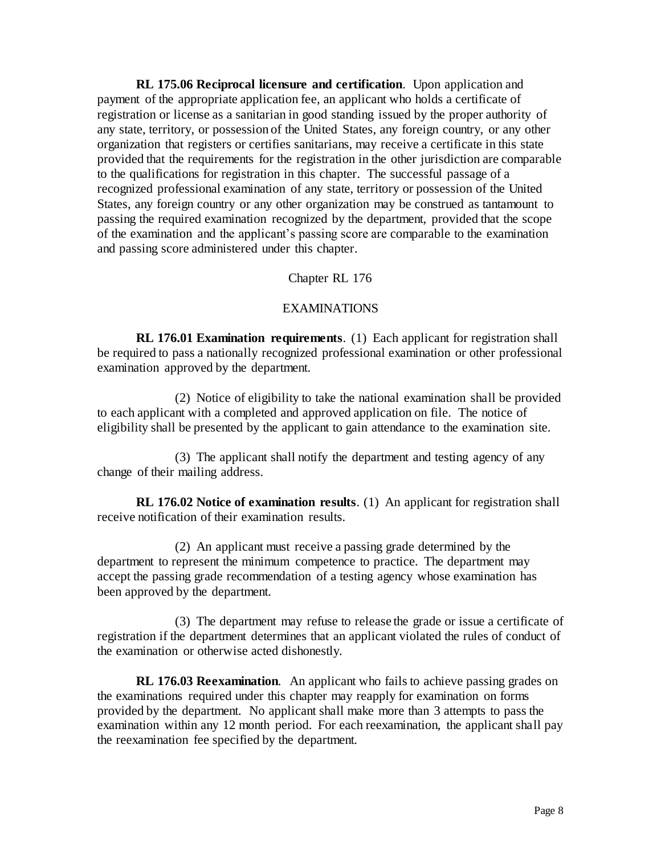**RL 175.06 Reciprocal licensure and certification**. Upon application and payment of the appropriate application fee, an applicant who holds a certificate of registration or license as a sanitarian in good standing issued by the proper authority of any state, territory, or possession of the United States, any foreign country, or any other organization that registers or certifies sanitarians, may receive a certificate in this state provided that the requirements for the registration in the other jurisdiction are comparable to the qualifications for registration in this chapter. The successful passage of a recognized professional examination of any state, territory or possession of the United States, any foreign country or any other organization may be construed as tantamount to passing the required examination recognized by the department, provided that the scope of the examination and the applicant's passing score are comparable to the examination and passing score administered under this chapter.

### Chapter RL 176

### EXAMINATIONS

**RL 176.01 Examination requirements**. (1) Each applicant for registration shall be required to pass a nationally recognized professional examination or other professional examination approved by the department.

(2) Notice of eligibility to take the national examination shall be provided to each applicant with a completed and approved application on file. The notice of eligibility shall be presented by the applicant to gain attendance to the examination site.

(3) The applicant shall notify the department and testing agency of any change of their mailing address.

**RL 176.02 Notice of examination results**. (1) An applicant for registration shall receive notification of their examination results.

(2) An applicant must receive a passing grade determined by the department to represent the minimum competence to practice. The department may accept the passing grade recommendation of a testing agency whose examination has been approved by the department.

(3) The department may refuse to release the grade or issue a certificate of registration if the department determines that an applicant violated the rules of conduct of the examination or otherwise acted dishonestly.

**RL 176.03 Reexamination**. An applicant who fails to achieve passing grades on the examinations required under this chapter may reapply for examination on forms provided by the department. No applicant shall make more than 3 attempts to pass the examination within any 12 month period. For each reexamination, the applicant shall pay the reexamination fee specified by the department.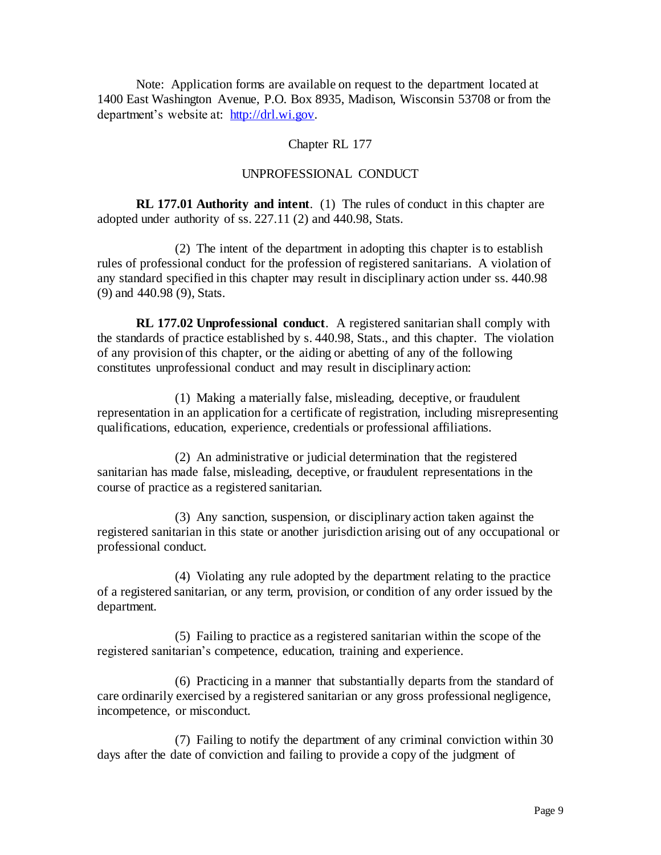Note: Application forms are available on request to the department located at 1400 East Washington Avenue, P.O. Box 8935, Madison, Wisconsin 53708 or from the department's website at: [http://drl.wi.gov.](http://drl.wi.gov/)

### Chapter RL 177

### UNPROFESSIONAL CONDUCT

**RL 177.01 Authority and intent**. (1) The rules of conduct in this chapter are adopted under authority of ss. 227.11 (2) and 440.98, Stats.

(2) The intent of the department in adopting this chapter is to establish rules of professional conduct for the profession of registered sanitarians. A violation of any standard specified in this chapter may result in disciplinary action under ss. 440.98 (9) and 440.98 (9), Stats.

**RL 177.02 Unprofessional conduct**. A registered sanitarian shall comply with the standards of practice established by s. 440.98, Stats., and this chapter. The violation of any provision of this chapter, or the aiding or abetting of any of the following constitutes unprofessional conduct and may result in disciplinary action:

(1) Making a materially false, misleading, deceptive, or fraudulent representation in an application for a certificate of registration, including misrepresenting qualifications, education, experience, credentials or professional affiliations.

(2) An administrative or judicial determination that the registered sanitarian has made false, misleading, deceptive, or fraudulent representations in the course of practice as a registered sanitarian.

(3) Any sanction, suspension, or disciplinary action taken against the registered sanitarian in this state or another jurisdiction arising out of any occupational or professional conduct.

(4) Violating any rule adopted by the department relating to the practice of a registered sanitarian, or any term, provision, or condition of any order issued by the department.

(5) Failing to practice as a registered sanitarian within the scope of the registered sanitarian's competence, education, training and experience.

(6) Practicing in a manner that substantially departs from the standard of care ordinarily exercised by a registered sanitarian or any gross professional negligence, incompetence, or misconduct.

(7) Failing to notify the department of any criminal conviction within 30 days after the date of conviction and failing to provide a copy of the judgment of